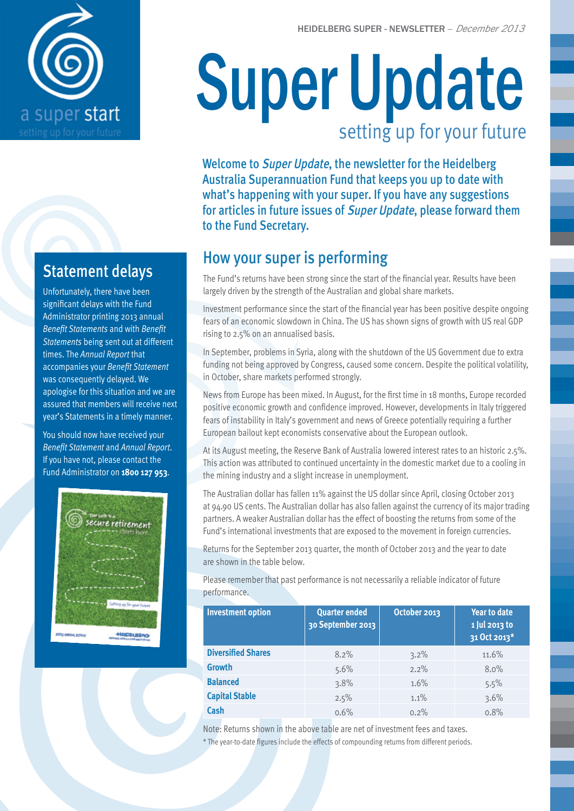

## Statement delays

Unfortunately, there have been significant delays with the Fund Administrator printing 2013 annual *Benefit Statements* and with *Benefit Statements* being sent out at different times. The *Annual Report* that accompanies your *Benefit Statement* was consequently delayed. We apologise for this situation and we are assured that members will receive next year's Statements in a timely manner.

You should now have received your *Benefit Statement* and *Annual Report*. If you have not, please contact the Fund Administrator on **1800 127 953**.



# Super Update setting up for your future

Welcome to Super Update, the newsletter for the Heidelberg Australia Superannuation Fund that keeps you up to date with what's happening with your super. If you have any suggestions for articles in future issues of *Super Update*, please forward them to the Fund Secretary.

## How your super is performing

The Fund's returns have been strong since the start of the financial year. Results have been largely driven by the strength of the Australian and global share markets.

Investment performance since the start of the financial year has been positive despite ongoing fears of an economic slowdown in China. The US has shown signs of growth with US real GDP rising to 2.5% on an annualised basis.

In September, problems in Syria, along with the shutdown of the US Government due to extra funding not being approved by Congress, caused some concern. Despite the political volatility, in October, share markets performed strongly.

News from Europe has been mixed. In August, for the first time in 18 months, Europe recorded positive economic growth and confidence improved. However, developments in Italy triggered fears of instability in Italy's government and news of Greece potentially requiring a further European bailout kept economists conservative about the European outlook.

At its August meeting, the Reserve Bank of Australia lowered interest rates to an historic 2.5%. This action was attributed to continued uncertainty in the domestic market due to a cooling in the mining industry and a slight increase in unemployment.

The Australian dollar has fallen 11% against the US dollar since April, closing October 2013 at 94.90 US cents. The Australian dollar has also fallen against the currency of its major trading partners. A weaker Australian dollar has the effect of boosting the returns from some of the Fund's international investments that are exposed to the movement in foreign currencies.

Returns for the September 2013 quarter, the month of October 2013 and the year to date are shown in the table below.

Please remember that past performance is not necessarily a reliable indicator of future performance.

| <b>Investment option</b>  | <b>Quarter ended</b><br>30 September 2013 | October 2013 | <b>Year to date</b><br>1 Jul 2013 to<br>31 Oct 2013* |
|---------------------------|-------------------------------------------|--------------|------------------------------------------------------|
| <b>Diversified Shares</b> | 8.2%                                      | 3.2%         | 11.6%                                                |
| <b>Growth</b>             | 5.6%                                      | 2.2%         | 8.0%                                                 |
| <b>Balanced</b>           | 3.8%                                      | 1.6%         | 5.5%                                                 |
| <b>Capital Stable</b>     | 2.5%                                      | 1.1%         | 3.6%                                                 |
| Cash                      | 0.6%                                      | 0.2%         | 0.8%                                                 |

Note: Returns shown in the above table are net of investment fees and taxes. \* The year-to-date figures include the effects of compounding returns from different periods.